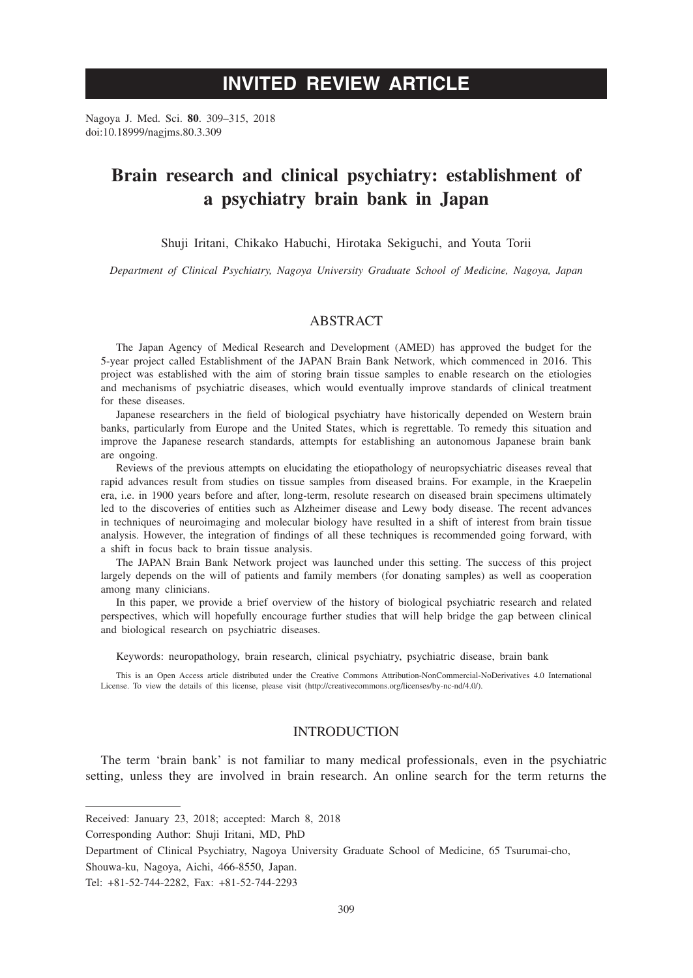# **INVITED REVIEW ARTICLE**

Nagoya J. Med. Sci. **80**. 309–315, 2018 doi:10.18999/nagjms.80.3.309

# **Brain research and clinical psychiatry: establishment of a psychiatry brain bank in Japan**

Shuji Iritani, Chikako Habuchi, Hirotaka Sekiguchi, and Youta Torii

*Department of Clinical Psychiatry, Nagoya University Graduate School of Medicine, Nagoya, Japan*

## ABSTRACT

The Japan Agency of Medical Research and Development (AMED) has approved the budget for the 5-year project called Establishment of the JAPAN Brain Bank Network, which commenced in 2016. This project was established with the aim of storing brain tissue samples to enable research on the etiologies and mechanisms of psychiatric diseases, which would eventually improve standards of clinical treatment for these diseases.

Japanese researchers in the field of biological psychiatry have historically depended on Western brain banks, particularly from Europe and the United States, which is regrettable. To remedy this situation and improve the Japanese research standards, attempts for establishing an autonomous Japanese brain bank are ongoing.

Reviews of the previous attempts on elucidating the etiopathology of neuropsychiatric diseases reveal that rapid advances result from studies on tissue samples from diseased brains. For example, in the Kraepelin era, i.e. in 1900 years before and after, long-term, resolute research on diseased brain specimens ultimately led to the discoveries of entities such as Alzheimer disease and Lewy body disease. The recent advances in techniques of neuroimaging and molecular biology have resulted in a shift of interest from brain tissue analysis. However, the integration of findings of all these techniques is recommended going forward, with a shift in focus back to brain tissue analysis.

The JAPAN Brain Bank Network project was launched under this setting. The success of this project largely depends on the will of patients and family members (for donating samples) as well as cooperation among many clinicians.

In this paper, we provide a brief overview of the history of biological psychiatric research and related perspectives, which will hopefully encourage further studies that will help bridge the gap between clinical and biological research on psychiatric diseases.

Keywords: neuropathology, brain research, clinical psychiatry, psychiatric disease, brain bank

This is an Open Access article distributed under the Creative Commons Attribution-NonCommercial-NoDerivatives 4.0 International License. To view the details of this license, please visit (http://creativecommons.org/licenses/by-nc-nd/4.0/).

# INTRODUCTION

The term 'brain bank' is not familiar to many medical professionals, even in the psychiatric setting, unless they are involved in brain research. An online search for the term returns the

Received: January 23, 2018; accepted: March 8, 2018

Corresponding Author: Shuji Iritani, MD, PhD

Department of Clinical Psychiatry, Nagoya University Graduate School of Medicine, 65 Tsurumai-cho,

Shouwa-ku, Nagoya, Aichi, 466-8550, Japan.

Tel: +81-52-744-2282, Fax: +81-52-744-2293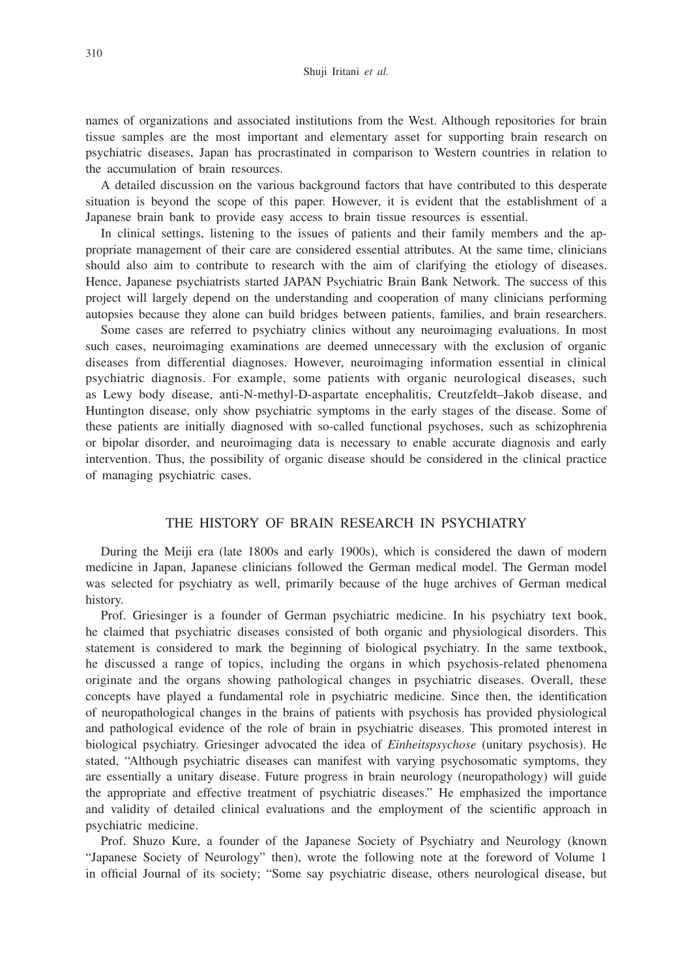names of organizations and associated institutions from the West. Although repositories for brain tissue samples are the most important and elementary asset for supporting brain research on psychiatric diseases, Japan has procrastinated in comparison to Western countries in relation to the accumulation of brain resources.

A detailed discussion on the various background factors that have contributed to this desperate situation is beyond the scope of this paper. However, it is evident that the establishment of a Japanese brain bank to provide easy access to brain tissue resources is essential.

In clinical settings, listening to the issues of patients and their family members and the appropriate management of their care are considered essential attributes. At the same time, clinicians should also aim to contribute to research with the aim of clarifying the etiology of diseases. Hence, Japanese psychiatrists started JAPAN Psychiatric Brain Bank Network. The success of this project will largely depend on the understanding and cooperation of many clinicians performing autopsies because they alone can build bridges between patients, families, and brain researchers.

Some cases are referred to psychiatry clinics without any neuroimaging evaluations. In most such cases, neuroimaging examinations are deemed unnecessary with the exclusion of organic diseases from differential diagnoses. However, neuroimaging information essential in clinical psychiatric diagnosis. For example, some patients with organic neurological diseases, such as Lewy body disease, anti-N-methyl-D-aspartate encephalitis, Creutzfeldt–Jakob disease, and Huntington disease, only show psychiatric symptoms in the early stages of the disease. Some of these patients are initially diagnosed with so-called functional psychoses, such as schizophrenia or bipolar disorder, and neuroimaging data is necessary to enable accurate diagnosis and early intervention. Thus, the possibility of organic disease should be considered in the clinical practice of managing psychiatric cases.

### THE HISTORY OF BRAIN RESEARCH IN PSYCHIATRY

During the Meiji era (late 1800s and early 1900s), which is considered the dawn of modern medicine in Japan, Japanese clinicians followed the German medical model. The German model was selected for psychiatry as well, primarily because of the huge archives of German medical history.

Prof. Griesinger is a founder of German psychiatric medicine. In his psychiatry text book, he claimed that psychiatric diseases consisted of both organic and physiological disorders. This statement is considered to mark the beginning of biological psychiatry. In the same textbook, he discussed a range of topics, including the organs in which psychosis-related phenomena originate and the organs showing pathological changes in psychiatric diseases. Overall, these concepts have played a fundamental role in psychiatric medicine. Since then, the identification of neuropathological changes in the brains of patients with psychosis has provided physiological and pathological evidence of the role of brain in psychiatric diseases. This promoted interest in biological psychiatry. Griesinger advocated the idea of *Einheitspsychose* (unitary psychosis). He stated, "Although psychiatric diseases can manifest with varying psychosomatic symptoms, they are essentially a unitary disease. Future progress in brain neurology (neuropathology) will guide the appropriate and effective treatment of psychiatric diseases." He emphasized the importance and validity of detailed clinical evaluations and the employment of the scientific approach in psychiatric medicine.

Prof. Shuzo Kure, a founder of the Japanese Society of Psychiatry and Neurology (known "Japanese Society of Neurology" then), wrote the following note at the foreword of Volume 1 in official Journal of its society; "Some say psychiatric disease, others neurological disease, but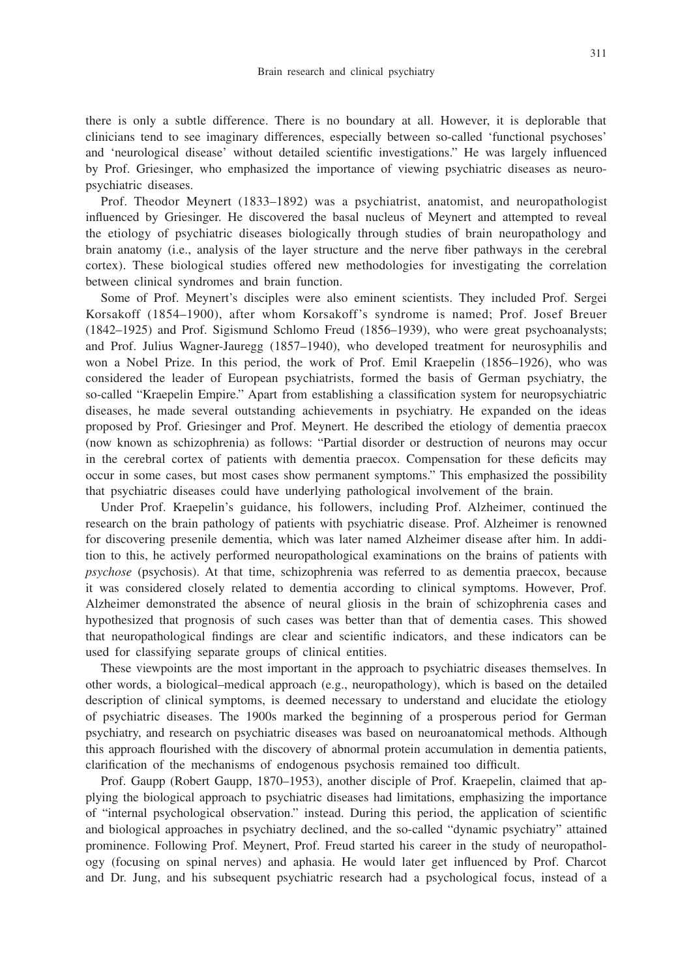there is only a subtle difference. There is no boundary at all. However, it is deplorable that clinicians tend to see imaginary differences, especially between so-called 'functional psychoses' and 'neurological disease' without detailed scientific investigations." He was largely influenced by Prof. Griesinger, who emphasized the importance of viewing psychiatric diseases as neuropsychiatric diseases.

Prof. Theodor Meynert (1833–1892) was a psychiatrist, anatomist, and neuropathologist influenced by Griesinger. He discovered the basal nucleus of Meynert and attempted to reveal the etiology of psychiatric diseases biologically through studies of brain neuropathology and brain anatomy (i.e., analysis of the layer structure and the nerve fiber pathways in the cerebral cortex). These biological studies offered new methodologies for investigating the correlation between clinical syndromes and brain function.

Some of Prof. Meynert's disciples were also eminent scientists. They included Prof. Sergei Korsakoff (1854–1900), after whom Korsakoff's syndrome is named; Prof. Josef Breuer (1842–1925) and Prof. Sigismund Schlomo Freud (1856–1939), who were great psychoanalysts; and Prof. Julius Wagner-Jauregg (1857–1940), who developed treatment for neurosyphilis and won a Nobel Prize. In this period, the work of Prof. Emil Kraepelin (1856–1926), who was considered the leader of European psychiatrists, formed the basis of German psychiatry, the so-called "Kraepelin Empire." Apart from establishing a classification system for neuropsychiatric diseases, he made several outstanding achievements in psychiatry. He expanded on the ideas proposed by Prof. Griesinger and Prof. Meynert. He described the etiology of dementia praecox (now known as schizophrenia) as follows: "Partial disorder or destruction of neurons may occur in the cerebral cortex of patients with dementia praecox. Compensation for these deficits may occur in some cases, but most cases show permanent symptoms." This emphasized the possibility that psychiatric diseases could have underlying pathological involvement of the brain.

Under Prof. Kraepelin's guidance, his followers, including Prof. Alzheimer, continued the research on the brain pathology of patients with psychiatric disease. Prof. Alzheimer is renowned for discovering presenile dementia, which was later named Alzheimer disease after him. In addition to this, he actively performed neuropathological examinations on the brains of patients with *psychose* (psychosis). At that time, schizophrenia was referred to as dementia praecox, because it was considered closely related to dementia according to clinical symptoms. However, Prof. Alzheimer demonstrated the absence of neural gliosis in the brain of schizophrenia cases and hypothesized that prognosis of such cases was better than that of dementia cases. This showed that neuropathological findings are clear and scientific indicators, and these indicators can be used for classifying separate groups of clinical entities.

These viewpoints are the most important in the approach to psychiatric diseases themselves. In other words, a biological–medical approach (e.g., neuropathology), which is based on the detailed description of clinical symptoms, is deemed necessary to understand and elucidate the etiology of psychiatric diseases. The 1900s marked the beginning of a prosperous period for German psychiatry, and research on psychiatric diseases was based on neuroanatomical methods. Although this approach flourished with the discovery of abnormal protein accumulation in dementia patients, clarification of the mechanisms of endogenous psychosis remained too difficult.

Prof. Gaupp (Robert Gaupp, 1870–1953), another disciple of Prof. Kraepelin, claimed that applying the biological approach to psychiatric diseases had limitations, emphasizing the importance of "internal psychological observation." instead. During this period, the application of scientific and biological approaches in psychiatry declined, and the so-called "dynamic psychiatry" attained prominence. Following Prof. Meynert, Prof. Freud started his career in the study of neuropathology (focusing on spinal nerves) and aphasia. He would later get influenced by Prof. Charcot and Dr. Jung, and his subsequent psychiatric research had a psychological focus, instead of a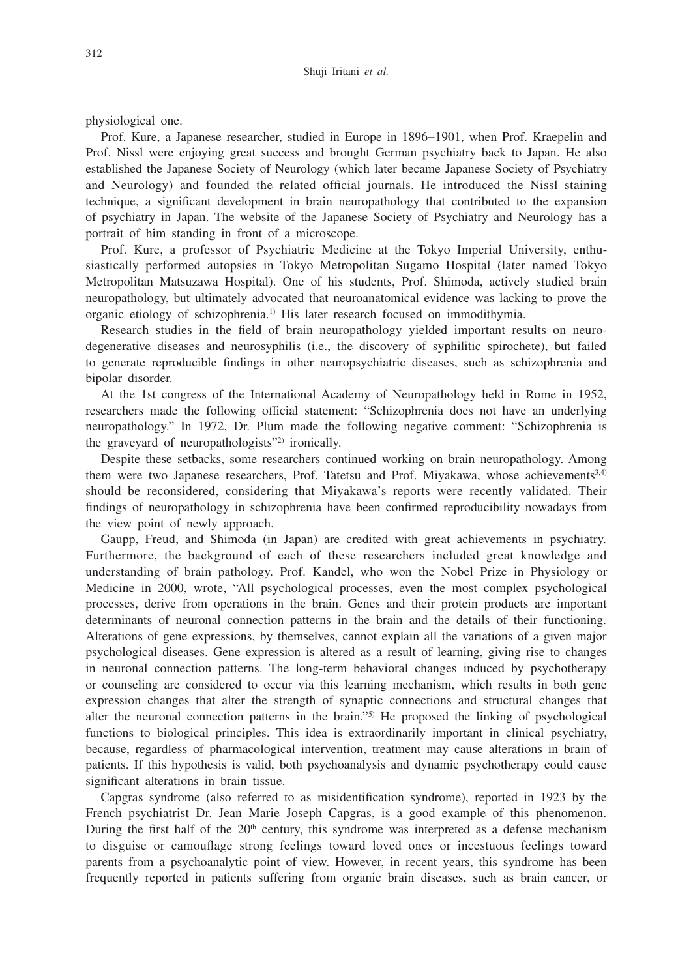physiological one.

Prof. Kure, a Japanese researcher, studied in Europe in 1896−1901, when Prof. Kraepelin and Prof. Nissl were enjoying great success and brought German psychiatry back to Japan. He also established the Japanese Society of Neurology (which later became Japanese Society of Psychiatry and Neurology) and founded the related official journals. He introduced the Nissl staining technique, a significant development in brain neuropathology that contributed to the expansion of psychiatry in Japan. The website of the Japanese Society of Psychiatry and Neurology has a portrait of him standing in front of a microscope.

Prof. Kure, a professor of Psychiatric Medicine at the Tokyo Imperial University, enthusiastically performed autopsies in Tokyo Metropolitan Sugamo Hospital (later named Tokyo Metropolitan Matsuzawa Hospital). One of his students, Prof. Shimoda, actively studied brain neuropathology, but ultimately advocated that neuroanatomical evidence was lacking to prove the organic etiology of schizophrenia.1) His later research focused on immodithymia.

Research studies in the field of brain neuropathology yielded important results on neurodegenerative diseases and neurosyphilis (i.e., the discovery of syphilitic spirochete), but failed to generate reproducible findings in other neuropsychiatric diseases, such as schizophrenia and bipolar disorder.

At the 1st congress of the International Academy of Neuropathology held in Rome in 1952, researchers made the following official statement: "Schizophrenia does not have an underlying neuropathology." In 1972, Dr. Plum made the following negative comment: "Schizophrenia is the graveyard of neuropathologists"<sup>2)</sup> ironically.

Despite these setbacks, some researchers continued working on brain neuropathology. Among them were two Japanese researchers, Prof. Tatetsu and Prof. Miyakawa, whose achievements<sup>3,4)</sup> should be reconsidered, considering that Miyakawa's reports were recently validated. Their findings of neuropathology in schizophrenia have been confirmed reproducibility nowadays from the view point of newly approach.

Gaupp, Freud, and Shimoda (in Japan) are credited with great achievements in psychiatry. Furthermore, the background of each of these researchers included great knowledge and understanding of brain pathology. Prof. Kandel, who won the Nobel Prize in Physiology or Medicine in 2000, wrote, "All psychological processes, even the most complex psychological processes, derive from operations in the brain. Genes and their protein products are important determinants of neuronal connection patterns in the brain and the details of their functioning. Alterations of gene expressions, by themselves, cannot explain all the variations of a given major psychological diseases. Gene expression is altered as a result of learning, giving rise to changes in neuronal connection patterns. The long-term behavioral changes induced by psychotherapy or counseling are considered to occur via this learning mechanism, which results in both gene expression changes that alter the strength of synaptic connections and structural changes that alter the neuronal connection patterns in the brain."5) He proposed the linking of psychological functions to biological principles. This idea is extraordinarily important in clinical psychiatry, because, regardless of pharmacological intervention, treatment may cause alterations in brain of patients. If this hypothesis is valid, both psychoanalysis and dynamic psychotherapy could cause significant alterations in brain tissue.

Capgras syndrome (also referred to as misidentification syndrome), reported in 1923 by the French psychiatrist Dr. Jean Marie Joseph Capgras, is a good example of this phenomenon. During the first half of the 20<sup>th</sup> century, this syndrome was interpreted as a defense mechanism to disguise or camouflage strong feelings toward loved ones or incestuous feelings toward parents from a psychoanalytic point of view. However, in recent years, this syndrome has been frequently reported in patients suffering from organic brain diseases, such as brain cancer, or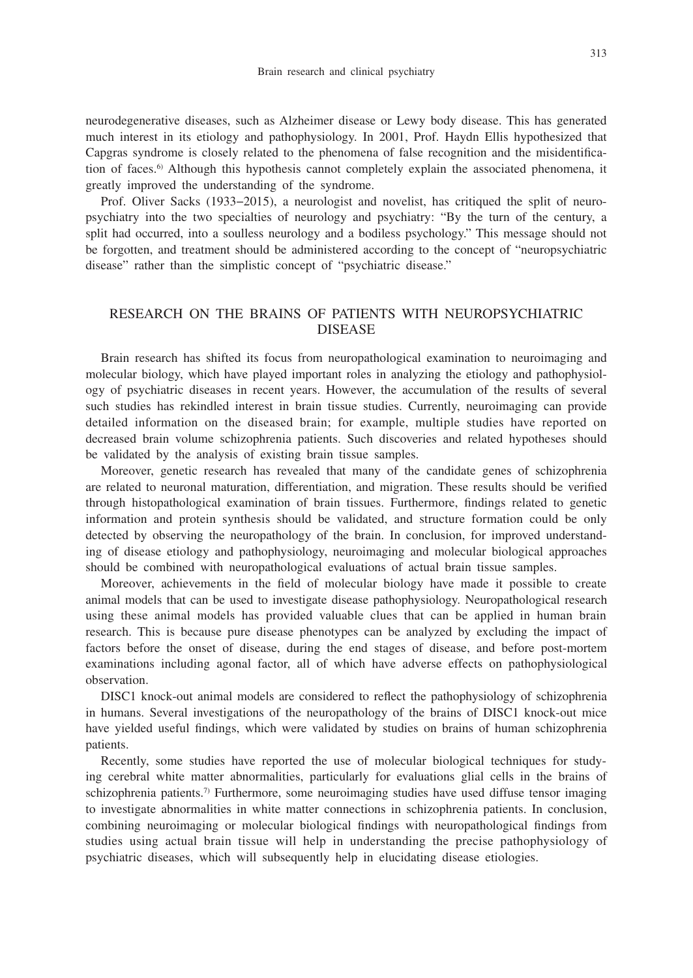neurodegenerative diseases, such as Alzheimer disease or Lewy body disease. This has generated much interest in its etiology and pathophysiology. In 2001, Prof. Haydn Ellis hypothesized that Capgras syndrome is closely related to the phenomena of false recognition and the misidentification of faces.<sup>6)</sup> Although this hypothesis cannot completely explain the associated phenomena, it greatly improved the understanding of the syndrome.

Prof. Oliver Sacks (1933−2015), a neurologist and novelist, has critiqued the split of neuropsychiatry into the two specialties of neurology and psychiatry: "By the turn of the century, a split had occurred, into a soulless neurology and a bodiless psychology." This message should not be forgotten, and treatment should be administered according to the concept of "neuropsychiatric disease" rather than the simplistic concept of "psychiatric disease."

# RESEARCH ON THE BRAINS OF PATIENTS WITH NEUROPSYCHIATRIC DISEASE

Brain research has shifted its focus from neuropathological examination to neuroimaging and molecular biology, which have played important roles in analyzing the etiology and pathophysiology of psychiatric diseases in recent years. However, the accumulation of the results of several such studies has rekindled interest in brain tissue studies. Currently, neuroimaging can provide detailed information on the diseased brain; for example, multiple studies have reported on decreased brain volume schizophrenia patients. Such discoveries and related hypotheses should be validated by the analysis of existing brain tissue samples.

Moreover, genetic research has revealed that many of the candidate genes of schizophrenia are related to neuronal maturation, differentiation, and migration. These results should be verified through histopathological examination of brain tissues. Furthermore, findings related to genetic information and protein synthesis should be validated, and structure formation could be only detected by observing the neuropathology of the brain. In conclusion, for improved understanding of disease etiology and pathophysiology, neuroimaging and molecular biological approaches should be combined with neuropathological evaluations of actual brain tissue samples.

Moreover, achievements in the field of molecular biology have made it possible to create animal models that can be used to investigate disease pathophysiology. Neuropathological research using these animal models has provided valuable clues that can be applied in human brain research. This is because pure disease phenotypes can be analyzed by excluding the impact of factors before the onset of disease, during the end stages of disease, and before post-mortem examinations including agonal factor, all of which have adverse effects on pathophysiological observation.

DISC1 knock-out animal models are considered to reflect the pathophysiology of schizophrenia in humans. Several investigations of the neuropathology of the brains of DISC1 knock-out mice have yielded useful findings, which were validated by studies on brains of human schizophrenia patients.

Recently, some studies have reported the use of molecular biological techniques for studying cerebral white matter abnormalities, particularly for evaluations glial cells in the brains of schizophrenia patients.<sup>7)</sup> Furthermore, some neuroimaging studies have used diffuse tensor imaging to investigate abnormalities in white matter connections in schizophrenia patients. In conclusion, combining neuroimaging or molecular biological findings with neuropathological findings from studies using actual brain tissue will help in understanding the precise pathophysiology of psychiatric diseases, which will subsequently help in elucidating disease etiologies.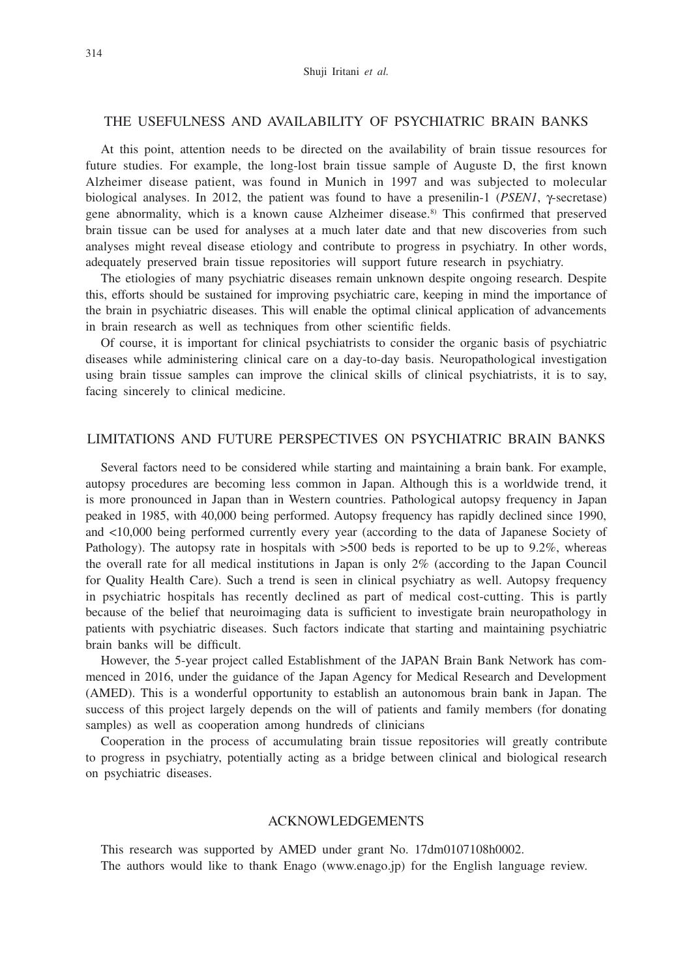#### THE USEFULNESS AND AVAILABILITY OF PSYCHIATRIC BRAIN BANKS

At this point, attention needs to be directed on the availability of brain tissue resources for future studies. For example, the long-lost brain tissue sample of Auguste D, the first known Alzheimer disease patient, was found in Munich in 1997 and was subjected to molecular biological analyses. In 2012, the patient was found to have a presenilin-1 ( $PSENI$ ,  $\gamma$ -secretase) gene abnormality, which is a known cause Alzheimer disease.<sup>8)</sup> This confirmed that preserved brain tissue can be used for analyses at a much later date and that new discoveries from such analyses might reveal disease etiology and contribute to progress in psychiatry. In other words, adequately preserved brain tissue repositories will support future research in psychiatry.

The etiologies of many psychiatric diseases remain unknown despite ongoing research. Despite this, efforts should be sustained for improving psychiatric care, keeping in mind the importance of the brain in psychiatric diseases. This will enable the optimal clinical application of advancements in brain research as well as techniques from other scientific fields.

Of course, it is important for clinical psychiatrists to consider the organic basis of psychiatric diseases while administering clinical care on a day-to-day basis. Neuropathological investigation using brain tissue samples can improve the clinical skills of clinical psychiatrists, it is to say, facing sincerely to clinical medicine.

### LIMITATIONS AND FUTURE PERSPECTIVES ON PSYCHIATRIC BRAIN BANKS

Several factors need to be considered while starting and maintaining a brain bank. For example, autopsy procedures are becoming less common in Japan. Although this is a worldwide trend, it is more pronounced in Japan than in Western countries. Pathological autopsy frequency in Japan peaked in 1985, with 40,000 being performed. Autopsy frequency has rapidly declined since 1990, and <10,000 being performed currently every year (according to the data of Japanese Society of Pathology). The autopsy rate in hospitals with >500 beds is reported to be up to 9.2%, whereas the overall rate for all medical institutions in Japan is only 2% (according to the Japan Council for Quality Health Care). Such a trend is seen in clinical psychiatry as well. Autopsy frequency in psychiatric hospitals has recently declined as part of medical cost-cutting. This is partly because of the belief that neuroimaging data is sufficient to investigate brain neuropathology in patients with psychiatric diseases. Such factors indicate that starting and maintaining psychiatric brain banks will be difficult.

However, the 5-year project called Establishment of the JAPAN Brain Bank Network has commenced in 2016, under the guidance of the Japan Agency for Medical Research and Development (AMED). This is a wonderful opportunity to establish an autonomous brain bank in Japan. The success of this project largely depends on the will of patients and family members (for donating samples) as well as cooperation among hundreds of clinicians

Cooperation in the process of accumulating brain tissue repositories will greatly contribute to progress in psychiatry, potentially acting as a bridge between clinical and biological research on psychiatric diseases.

#### ACKNOWLEDGEMENTS

This research was supported by AMED under grant No. 17dm0107108h0002.

The authors would like to thank Enago (www.enago.jp) for the English language review.